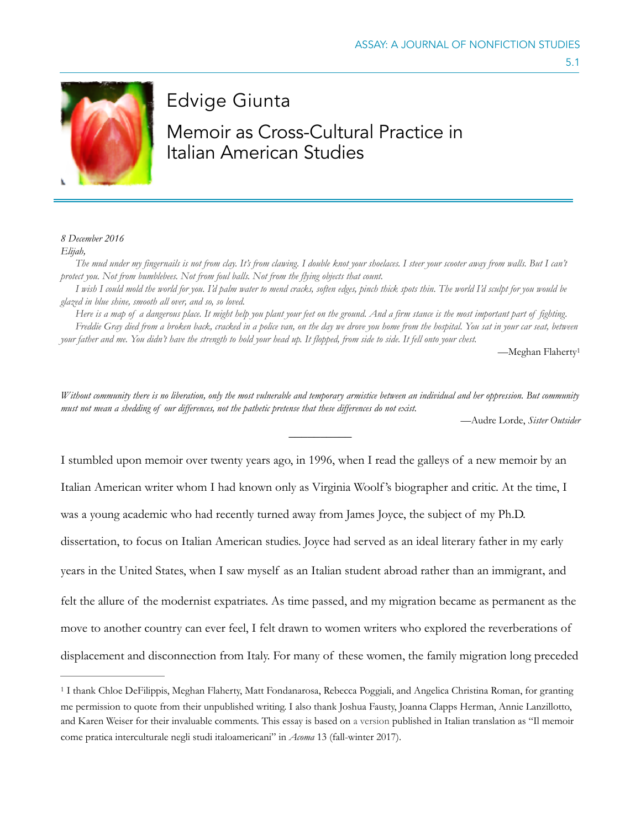

## Edvige Giunta

# Memoir as Cross-Cultural Practice in Italian American Studies

#### *8 December 2016 Elijah,*

*The mud under my fingernails is not from clay. It's from clawing. I double knot your shoelaces. I steer your scooter away from walls. But I can't protect you. Not from bumblebees. Not from foul balls. Not from the flying objects that count.* 

*I wish I could mold the world for you. I'd palm water to mend cracks, soften edges, pinch thick spots thin. The world I'd sculpt for you would be glazed in blue shine, smooth all over, and so, so loved.* 

*Here is a map of a dangerous place. It might help you plant your feet on the ground. And a firm stance is the most important part of fighting. Freddie Gray died from a broken back, cracked in a police van, on the day we drove you home from the hospital. You sat in your car seat, between your father and me. You didn't have the strength to hold your head up. It flopped, from side to side. It fell onto your chest.* 

<span id="page-0-1"></span>—Meghan Flahert[y1](#page-0-0)

5.1

*Without community there is no liberation, only the most vulnerable and temporary armistice between an individual and her oppression. But community must not mean a shedding of our differences, not the pathetic pretense that these differences do not exist.* 

 $\overline{\phantom{a}}$ 

*—*Audre Lorde, *Sister Outsider*

I stumbled upon memoir over twenty years ago, in 1996, when I read the galleys of a new memoir by an Italian American writer whom I had known only as Virginia Woolf 's biographer and critic. At the time, I was a young academic who had recently turned away from James Joyce, the subject of my Ph.D. dissertation, to focus on Italian American studies. Joyce had served as an ideal literary father in my early years in the United States, when I saw myself as an Italian student abroad rather than an immigrant, and felt the allure of the modernist expatriates. As time passed, and my migration became as permanent as the move to another country can ever feel, I felt drawn to women writers who explored the reverberations of displacement and disconnection from Italy. For many of these women, the family migration long preceded

<span id="page-0-0"></span><sup>&</sup>lt;sup>[1](#page-0-1)</sup> I thank Chloe DeFilippis, Meghan Flaherty, Matt Fondanarosa, Rebecca Poggiali, and Angelica Christina Roman, for granting me permission to quote from their unpublished writing. I also thank Joshua Fausty, Joanna Clapps Herman, Annie Lanzillotto, and Karen Weiser for their invaluable comments. This essay is based on a version published in Italian translation as "Il memoir come pratica interculturale negli studi italoamericani" in *Acoma* 13 (fall-winter 2017).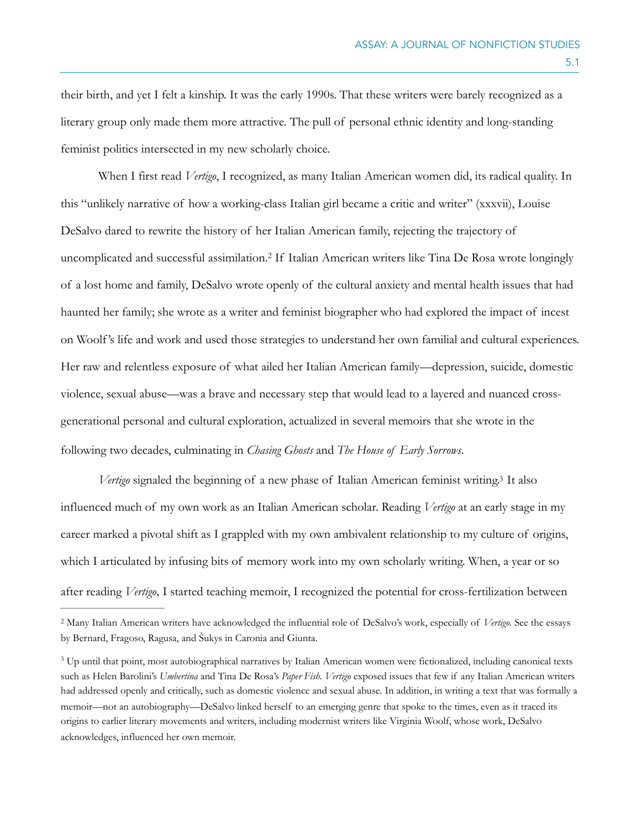their birth, and yet I felt a kinship. It was the early 1990s. That these writers were barely recognized as a literary group only made them more attractive. The pull of personal ethnic identity and long-standing feminist politics intersected in my new scholarly choice.

<span id="page-1-2"></span>When I first read *Vertigo*, I recognized, as many Italian American women did, its radical quality. In this "unlikely narrative of how a working-class Italian girl became a critic and writer" (xxxvii), Louise DeSalvo dared to rewrite the history of her Italian American family, rejecting the trajectory of uncomplicated and successful assimilation.<sup>[2](#page-1-0)</sup> If Italian American writers like Tina De Rosa wrote longingly of a lost home and family, DeSalvo wrote openly of the cultural anxiety and mental health issues that had haunted her family; she wrote as a writer and feminist biographer who had explored the impact of incest on Woolf 's life and work and used those strategies to understand her own familial and cultural experiences. Her raw and relentless exposure of what ailed her Italian American family—depression, suicide, domestic violence, sexual abuse—was a brave and necessary step that would lead to a layered and nuanced crossgenerational personal and cultural exploration, actualized in several memoirs that she wrote in the following two decades, culminating in *Chasing Ghosts* and *The House of Early Sorrows*.

<span id="page-1-3"></span>*Vertigo* signaled the beginning of a new phase of Italian American feminist writing[.](#page-1-1)<sup>[3](#page-1-1)</sup> It also influenced much of my own work as an Italian American scholar. Reading *Vertigo* at an early stage in my career marked a pivotal shift as I grappled with my own ambivalent relationship to my culture of origins, which I articulated by infusing bits of memory work into my own scholarly writing. When, a year or so after reading *Vertigo*, I started teaching memoir, I recognized the potential for cross-fertilization between

<span id="page-1-0"></span>Many Italian American writers have acknowledged the influential role of DeSalvo's work, especially of *Vertigo*. See the essays [2](#page-1-2) by Bernard, Fragoso, Ragusa, and Šukys in Caronia and Giunta.

<span id="page-1-1"></span><sup>&</sup>lt;sup>[3](#page-1-3)</sup> Up until that point, most autobiographical narratives by Italian American women were fictionalized, including canonical texts such as Helen Barolini's *Umbertina* and Tina De Rosa's *Paper Fish. Vertigo* exposed issues that few if any Italian American writers had addressed openly and critically, such as domestic violence and sexual abuse. In addition, in writing a text that was formally a memoir—not an autobiography—DeSalvo linked herself to an emerging genre that spoke to the times, even as it traced its origins to earlier literary movements and writers, including modernist writers like Virginia Woolf, whose work, DeSalvo acknowledges, influenced her own memoir.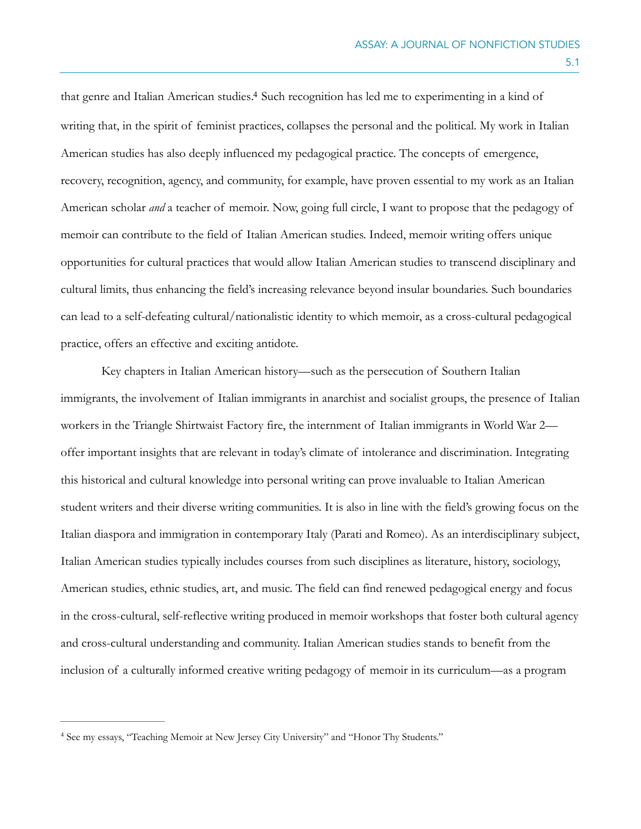<span id="page-2-1"></span>that genre and Italian American studies.<sup>[4](#page-2-0)</sup> Such recognition has led me to experimenting in a kind of writing that, in the spirit of feminist practices, collapses the personal and the political. My work in Italian American studies has also deeply influenced my pedagogical practice. The concepts of emergence, recovery, recognition, agency, and community, for example, have proven essential to my work as an Italian American scholar *and* a teacher of memoir. Now, going full circle, I want to propose that the pedagogy of memoir can contribute to the field of Italian American studies. Indeed, memoir writing offers unique opportunities for cultural practices that would allow Italian American studies to transcend disciplinary and cultural limits, thus enhancing the field's increasing relevance beyond insular boundaries. Such boundaries can lead to a self-defeating cultural/nationalistic identity to which memoir, as a cross-cultural pedagogical practice, offers an effective and exciting antidote.

 Key chapters in Italian American history––such as the persecution of Southern Italian immigrants, the involvement of Italian immigrants in anarchist and socialist groups, the presence of Italian workers in the Triangle Shirtwaist Factory fire, the internment of Italian immigrants in World War 2 offer important insights that are relevant in today's climate of intolerance and discrimination. Integrating this historical and cultural knowledge into personal writing can prove invaluable to Italian American student writers and their diverse writing communities. It is also in line with the field's growing focus on the Italian diaspora and immigration in contemporary Italy (Parati and Romeo). As an interdisciplinary subject, Italian American studies typically includes courses from such disciplines as literature, history, sociology, American studies, ethnic studies, art, and music. The field can find renewed pedagogical energy and focus in the cross-cultural, self-reflective writing produced in memoir workshops that foster both cultural agency and cross-cultural understanding and community. Italian American studies stands to benefit from the inclusion of a culturally informed creative writing pedagogy of memoir in its curriculum—as a program

<span id="page-2-0"></span><sup>&</sup>lt;sup>[4](#page-2-1)</sup> See my essays, "Teaching Memoir at New Jersey City University" and "Honor Thy Students."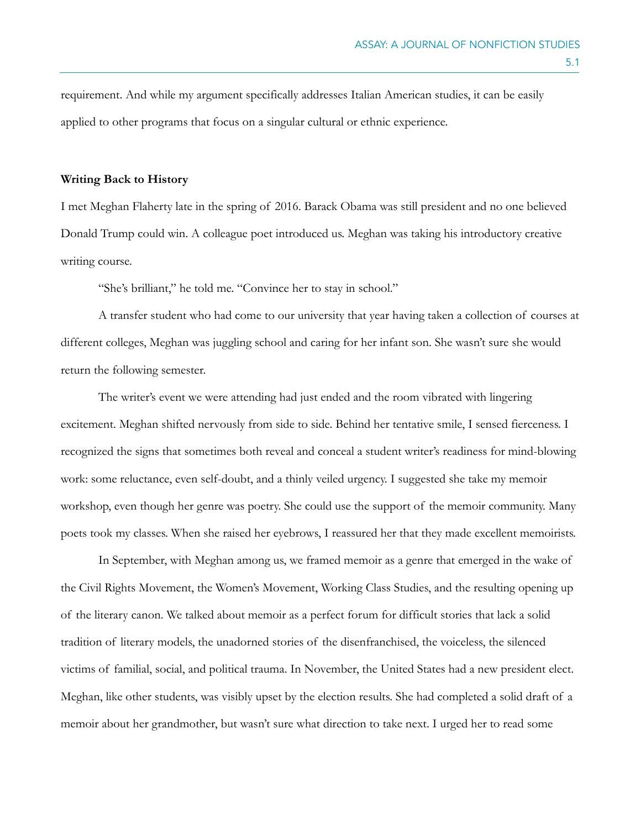requirement. And while my argument specifically addresses Italian American studies, it can be easily applied to other programs that focus on a singular cultural or ethnic experience.

#### **Writing Back to History**

I met Meghan Flaherty late in the spring of 2016. Barack Obama was still president and no one believed Donald Trump could win. A colleague poet introduced us. Meghan was taking his introductory creative writing course.

"She's brilliant," he told me. "Convince her to stay in school."

A transfer student who had come to our university that year having taken a collection of courses at different colleges, Meghan was juggling school and caring for her infant son. She wasn't sure she would return the following semester.

The writer's event we were attending had just ended and the room vibrated with lingering excitement. Meghan shifted nervously from side to side. Behind her tentative smile, I sensed fierceness. I recognized the signs that sometimes both reveal and conceal a student writer's readiness for mind-blowing work: some reluctance, even self-doubt, and a thinly veiled urgency. I suggested she take my memoir workshop, even though her genre was poetry. She could use the support of the memoir community. Many poets took my classes. When she raised her eyebrows, I reassured her that they made excellent memoirists.

In September, with Meghan among us, we framed memoir as a genre that emerged in the wake of the Civil Rights Movement, the Women's Movement, Working Class Studies, and the resulting opening up of the literary canon. We talked about memoir as a perfect forum for difficult stories that lack a solid tradition of literary models, the unadorned stories of the disenfranchised, the voiceless, the silenced victims of familial, social, and political trauma. In November, the United States had a new president elect. Meghan, like other students, was visibly upset by the election results. She had completed a solid draft of a memoir about her grandmother, but wasn't sure what direction to take next. I urged her to read some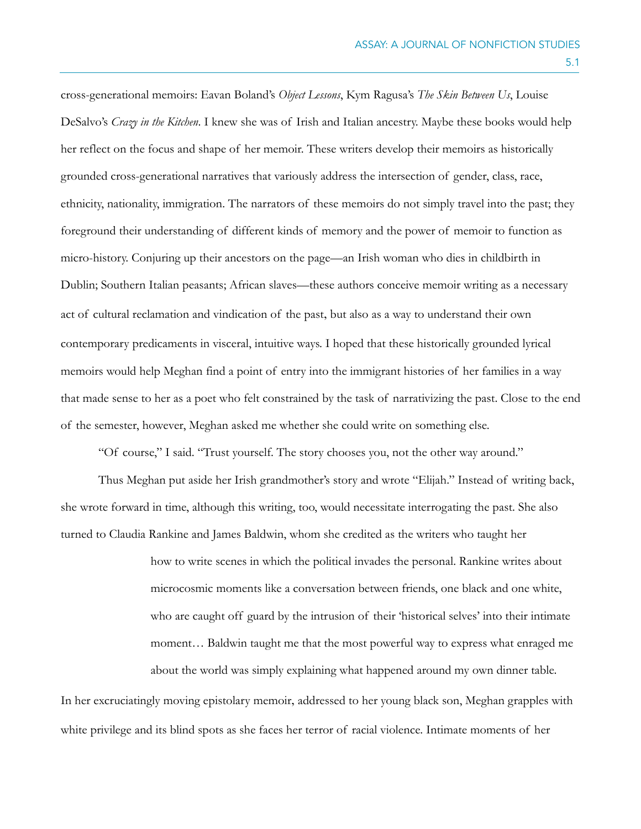cross-generational memoirs: Eavan Boland's *Object Lessons*, Kym Ragusa's *The Skin Between Us*, Louise DeSalvo's *Crazy in the Kitchen*. I knew she was of Irish and Italian ancestry. Maybe these books would help her reflect on the focus and shape of her memoir. These writers develop their memoirs as historically grounded cross-generational narratives that variously address the intersection of gender, class, race, ethnicity, nationality, immigration. The narrators of these memoirs do not simply travel into the past; they foreground their understanding of different kinds of memory and the power of memoir to function as micro-history. Conjuring up their ancestors on the page—an Irish woman who dies in childbirth in Dublin; Southern Italian peasants; African slaves—these authors conceive memoir writing as a necessary act of cultural reclamation and vindication of the past, but also as a way to understand their own contemporary predicaments in visceral, intuitive ways. I hoped that these historically grounded lyrical memoirs would help Meghan find a point of entry into the immigrant histories of her families in a way that made sense to her as a poet who felt constrained by the task of narrativizing the past. Close to the end of the semester, however, Meghan asked me whether she could write on something else.

"Of course," I said. "Trust yourself. The story chooses you, not the other way around."

Thus Meghan put aside her Irish grandmother's story and wrote "Elijah." Instead of writing back, she wrote forward in time, although this writing, too, would necessitate interrogating the past. She also turned to Claudia Rankine and James Baldwin, whom she credited as the writers who taught her

> how to write scenes in which the political invades the personal. Rankine writes about microcosmic moments like a conversation between friends, one black and one white, who are caught off guard by the intrusion of their 'historical selves' into their intimate moment… Baldwin taught me that the most powerful way to express what enraged me about the world was simply explaining what happened around my own dinner table.

In her excruciatingly moving epistolary memoir, addressed to her young black son, Meghan grapples with white privilege and its blind spots as she faces her terror of racial violence. Intimate moments of her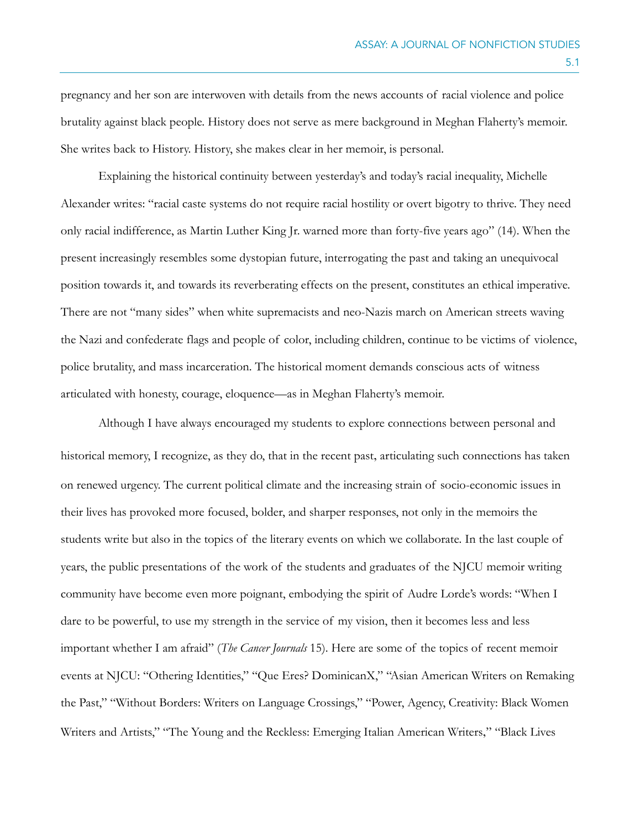pregnancy and her son are interwoven with details from the news accounts of racial violence and police brutality against black people. History does not serve as mere background in Meghan Flaherty's memoir. She writes back to History. History, she makes clear in her memoir, is personal.

 Explaining the historical continuity between yesterday's and today's racial inequality, Michelle Alexander writes: "racial caste systems do not require racial hostility or overt bigotry to thrive. They need only racial indifference, as Martin Luther King Jr. warned more than forty-five years ago" (14). When the present increasingly resembles some dystopian future, interrogating the past and taking an unequivocal position towards it, and towards its reverberating effects on the present, constitutes an ethical imperative. There are not "many sides" when white supremacists and neo-Nazis march on American streets waving the Nazi and confederate flags and people of color, including children, continue to be victims of violence, police brutality, and mass incarceration. The historical moment demands conscious acts of witness articulated with honesty, courage, eloquence—as in Meghan Flaherty's memoir.

Although I have always encouraged my students to explore connections between personal and historical memory, I recognize, as they do, that in the recent past, articulating such connections has taken on renewed urgency. The current political climate and the increasing strain of socio-economic issues in their lives has provoked more focused, bolder, and sharper responses, not only in the memoirs the students write but also in the topics of the literary events on which we collaborate. In the last couple of years, the public presentations of the work of the students and graduates of the NJCU memoir writing community have become even more poignant, embodying the spirit of Audre Lorde's words: "When I dare to be powerful, to use my strength in the service of my vision, then it becomes less and less important whether I am afraid" (*The Cancer Journals* 15). Here are some of the topics of recent memoir events at NJCU: "Othering Identities," "Que Eres? DominicanX," "Asian American Writers on Remaking the Past," "Without Borders: Writers on Language Crossings," "Power, Agency, Creativity: Black Women Writers and Artists," "The Young and the Reckless: Emerging Italian American Writers," "Black Lives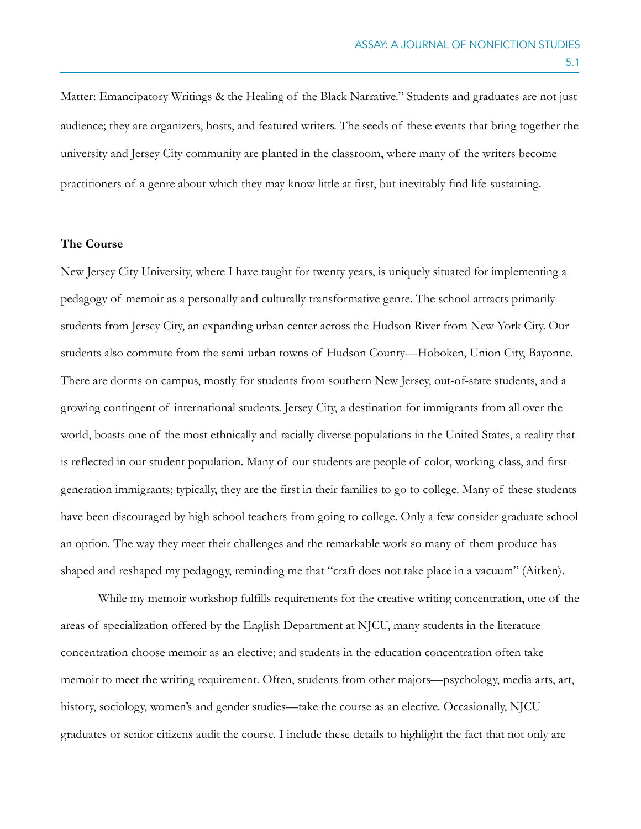Matter: Emancipatory Writings & the Healing of the Black Narrative." Students and graduates are not just audience; they are organizers, hosts, and featured writers. The seeds of these events that bring together the university and Jersey City community are planted in the classroom, where many of the writers become practitioners of a genre about which they may know little at first, but inevitably find life-sustaining.

#### **The Course**

New Jersey City University, where I have taught for twenty years, is uniquely situated for implementing a pedagogy of memoir as a personally and culturally transformative genre. The school attracts primarily students from Jersey City, an expanding urban center across the Hudson River from New York City. Our students also commute from the semi-urban towns of Hudson County—Hoboken, Union City, Bayonne. There are dorms on campus, mostly for students from southern New Jersey, out-of-state students, and a growing contingent of international students. Jersey City, a destination for immigrants from all over the world, boasts one of the most ethnically and racially diverse populations in the United States, a reality that is reflected in our student population. Many of our students are people of color, working-class, and firstgeneration immigrants; typically, they are the first in their families to go to college. Many of these students have been discouraged by high school teachers from going to college. Only a few consider graduate school an option. The way they meet their challenges and the remarkable work so many of them produce has shaped and reshaped my pedagogy, reminding me that "craft does not take place in a vacuum" (Aitken).

While my memoir workshop fulfills requirements for the creative writing concentration, one of the areas of specialization offered by the English Department at NJCU, many students in the literature concentration choose memoir as an elective; and students in the education concentration often take memoir to meet the writing requirement. Often, students from other majors—psychology, media arts, art, history, sociology, women's and gender studies—take the course as an elective. Occasionally, NJCU graduates or senior citizens audit the course. I include these details to highlight the fact that not only are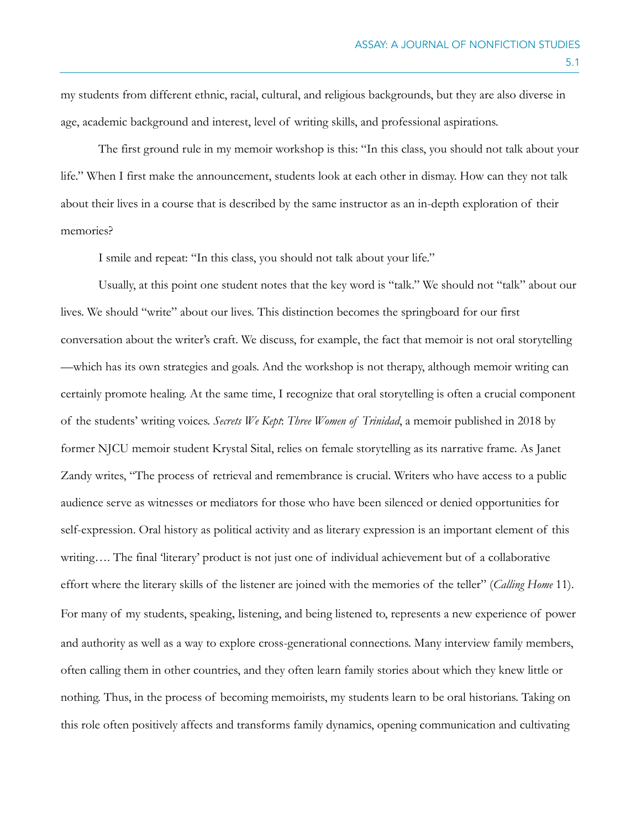my students from different ethnic, racial, cultural, and religious backgrounds, but they are also diverse in age, academic background and interest, level of writing skills, and professional aspirations.

The first ground rule in my memoir workshop is this: "In this class, you should not talk about your life." When I first make the announcement, students look at each other in dismay. How can they not talk about their lives in a course that is described by the same instructor as an in-depth exploration of their memories?

I smile and repeat: "In this class, you should not talk about your life."

Usually, at this point one student notes that the key word is "talk." We should not "talk" about our lives. We should "write" about our lives. This distinction becomes the springboard for our first conversation about the writer's craft. We discuss, for example, the fact that memoir is not oral storytelling —which has its own strategies and goals. And the workshop is not therapy, although memoir writing can certainly promote healing. At the same time, I recognize that oral storytelling is often a crucial component of the students' writing voices. *Secrets We Kept*: *Three Women of Trinidad*, a memoir published in 2018 by former NJCU memoir student Krystal Sital, relies on female storytelling as its narrative frame. As Janet Zandy writes, "The process of retrieval and remembrance is crucial. Writers who have access to a public audience serve as witnesses or mediators for those who have been silenced or denied opportunities for self-expression. Oral history as political activity and as literary expression is an important element of this writing…. The final 'literary' product is not just one of individual achievement but of a collaborative effort where the literary skills of the listener are joined with the memories of the teller" (*Calling Home* 11). For many of my students, speaking, listening, and being listened to, represents a new experience of power and authority as well as a way to explore cross-generational connections. Many interview family members, often calling them in other countries, and they often learn family stories about which they knew little or nothing. Thus, in the process of becoming memoirists, my students learn to be oral historians. Taking on this role often positively affects and transforms family dynamics, opening communication and cultivating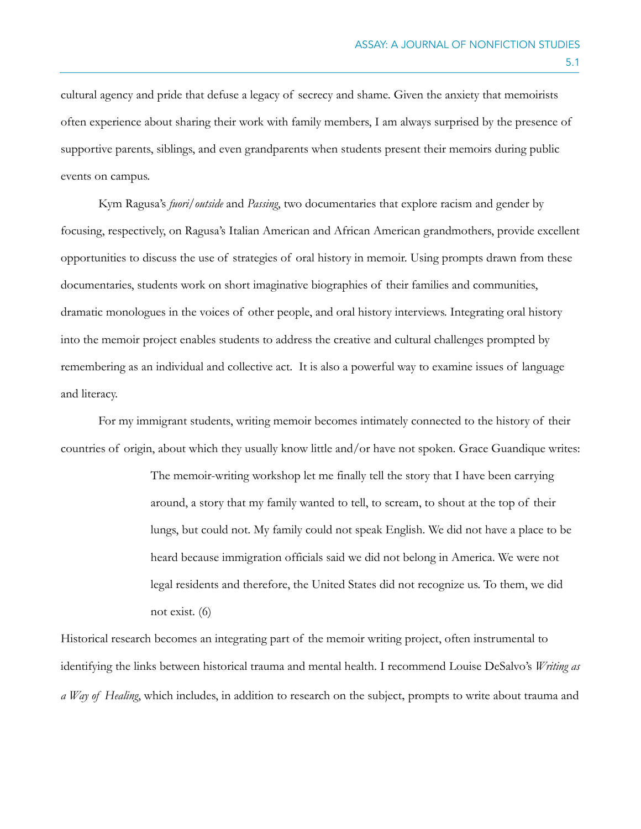cultural agency and pride that defuse a legacy of secrecy and shame. Given the anxiety that memoirists often experience about sharing their work with family members, I am always surprised by the presence of supportive parents, siblings, and even grandparents when students present their memoirs during public events on campus.

Kym Ragusa's *fuori/outside* and *Passing*, two documentaries that explore racism and gender by focusing, respectively, on Ragusa's Italian American and African American grandmothers, provide excellent opportunities to discuss the use of strategies of oral history in memoir. Using prompts drawn from these documentaries, students work on short imaginative biographies of their families and communities, dramatic monologues in the voices of other people, and oral history interviews. Integrating oral history into the memoir project enables students to address the creative and cultural challenges prompted by remembering as an individual and collective act. It is also a powerful way to examine issues of language and literacy.

For my immigrant students, writing memoir becomes intimately connected to the history of their countries of origin, about which they usually know little and/or have not spoken. Grace Guandique writes:

> The memoir-writing workshop let me finally tell the story that I have been carrying around, a story that my family wanted to tell, to scream, to shout at the top of their lungs, but could not. My family could not speak English. We did not have a place to be heard because immigration officials said we did not belong in America. We were not legal residents and therefore, the United States did not recognize us. To them, we did not exist. (6)

Historical research becomes an integrating part of the memoir writing project, often instrumental to identifying the links between historical trauma and mental health. I recommend Louise DeSalvo's *Writing as a Way of Healing*, which includes, in addition to research on the subject, prompts to write about trauma and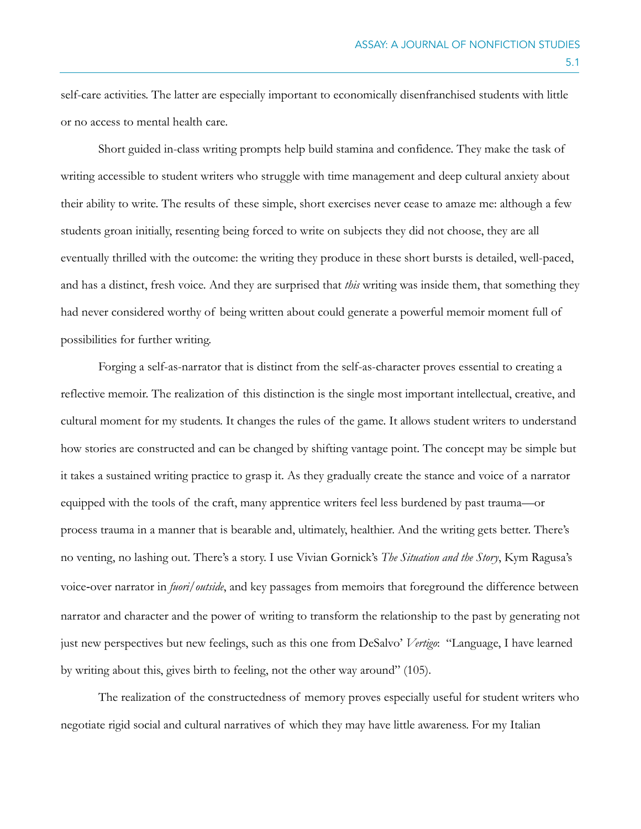self-care activities. The latter are especially important to economically disenfranchised students with little or no access to mental health care.

Short guided in-class writing prompts help build stamina and confidence. They make the task of writing accessible to student writers who struggle with time management and deep cultural anxiety about their ability to write. The results of these simple, short exercises never cease to amaze me: although a few students groan initially, resenting being forced to write on subjects they did not choose, they are all eventually thrilled with the outcome: the writing they produce in these short bursts is detailed, well-paced, and has a distinct, fresh voice. And they are surprised that *this* writing was inside them, that something they had never considered worthy of being written about could generate a powerful memoir moment full of possibilities for further writing.

Forging a self-as-narrator that is distinct from the self-as-character proves essential to creating a reflective memoir. The realization of this distinction is the single most important intellectual, creative, and cultural moment for my students. It changes the rules of the game. It allows student writers to understand how stories are constructed and can be changed by shifting vantage point. The concept may be simple but it takes a sustained writing practice to grasp it. As they gradually create the stance and voice of a narrator equipped with the tools of the craft, many apprentice writers feel less burdened by past trauma—or process trauma in a manner that is bearable and, ultimately, healthier. And the writing gets better. There's no venting, no lashing out. There's a story. I use Vivian Gornick's *The Situation and the Story*, Kym Ragusa's voice-over narrator in *fuori/outside*, and key passages from memoirs that foreground the difference between narrator and character and the power of writing to transform the relationship to the past by generating not just new perspectives but new feelings, such as this one from DeSalvo' *Vertigo*: "Language, I have learned by writing about this, gives birth to feeling, not the other way around" (105).

The realization of the constructedness of memory proves especially useful for student writers who negotiate rigid social and cultural narratives of which they may have little awareness. For my Italian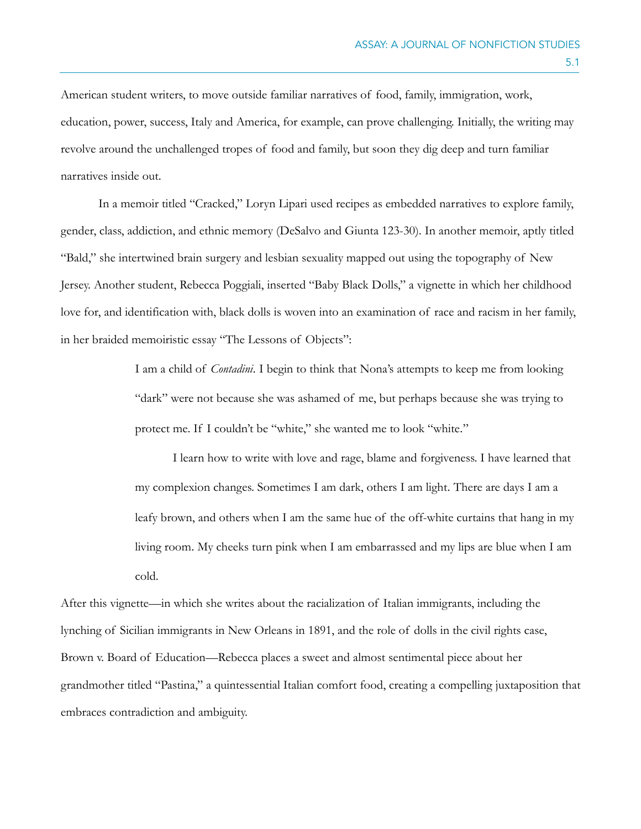American student writers, to move outside familiar narratives of food, family, immigration, work, education, power, success, Italy and America, for example, can prove challenging. Initially, the writing may revolve around the unchallenged tropes of food and family, but soon they dig deep and turn familiar narratives inside out.

In a memoir titled "Cracked," Loryn Lipari used recipes as embedded narratives to explore family, gender, class, addiction, and ethnic memory (DeSalvo and Giunta 123-30). In another memoir, aptly titled "Bald," she intertwined brain surgery and lesbian sexuality mapped out using the topography of New Jersey. Another student, Rebecca Poggiali, inserted "Baby Black Dolls," a vignette in which her childhood love for, and identification with, black dolls is woven into an examination of race and racism in her family, in her braided memoiristic essay "The Lessons of Objects":

> I am a child of *Contadini*. I begin to think that Nona's attempts to keep me from looking "dark" were not because she was ashamed of me, but perhaps because she was trying to protect me. If I couldn't be "white," she wanted me to look "white."

I learn how to write with love and rage, blame and forgiveness. I have learned that my complexion changes. Sometimes I am dark, others I am light. There are days I am a leafy brown, and others when I am the same hue of the off-white curtains that hang in my living room. My cheeks turn pink when I am embarrassed and my lips are blue when I am cold.

After this vignette—in which she writes about the racialization of Italian immigrants, including the lynching of Sicilian immigrants in New Orleans in 1891, and the role of dolls in the civil rights case, Brown v. Board of Education—Rebecca places a sweet and almost sentimental piece about her grandmother titled "Pastina," a quintessential Italian comfort food, creating a compelling juxtaposition that embraces contradiction and ambiguity.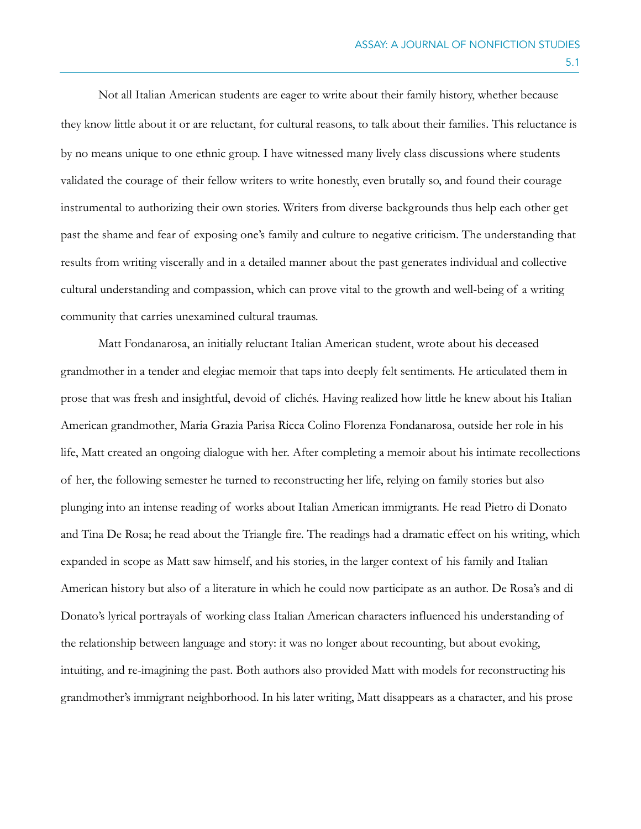Not all Italian American students are eager to write about their family history, whether because they know little about it or are reluctant, for cultural reasons, to talk about their families. This reluctance is by no means unique to one ethnic group. I have witnessed many lively class discussions where students validated the courage of their fellow writers to write honestly, even brutally so, and found their courage instrumental to authorizing their own stories. Writers from diverse backgrounds thus help each other get past the shame and fear of exposing one's family and culture to negative criticism. The understanding that results from writing viscerally and in a detailed manner about the past generates individual and collective cultural understanding and compassion, which can prove vital to the growth and well-being of a writing community that carries unexamined cultural traumas.

Matt Fondanarosa, an initially reluctant Italian American student, wrote about his deceased grandmother in a tender and elegiac memoir that taps into deeply felt sentiments. He articulated them in prose that was fresh and insightful, devoid of clichés. Having realized how little he knew about his Italian American grandmother, Maria Grazia Parisa Ricca Colino Florenza Fondanarosa, outside her role in his life, Matt created an ongoing dialogue with her. After completing a memoir about his intimate recollections of her, the following semester he turned to reconstructing her life, relying on family stories but also plunging into an intense reading of works about Italian American immigrants. He read Pietro di Donato and Tina De Rosa; he read about the Triangle fire. The readings had a dramatic effect on his writing, which expanded in scope as Matt saw himself, and his stories, in the larger context of his family and Italian American history but also of a literature in which he could now participate as an author. De Rosa's and di Donato's lyrical portrayals of working class Italian American characters influenced his understanding of the relationship between language and story: it was no longer about recounting, but about evoking, intuiting, and re-imagining the past. Both authors also provided Matt with models for reconstructing his grandmother's immigrant neighborhood. In his later writing, Matt disappears as a character, and his prose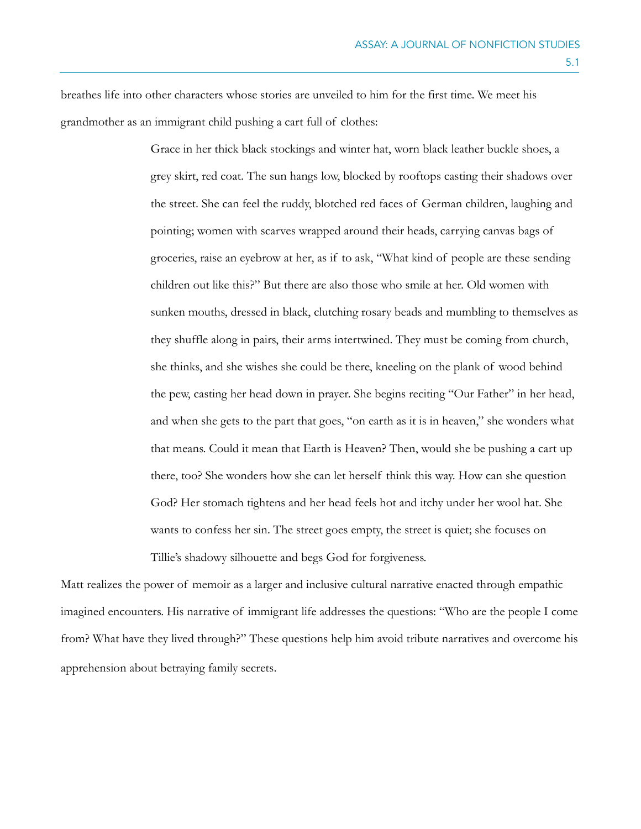breathes life into other characters whose stories are unveiled to him for the first time. We meet his grandmother as an immigrant child pushing a cart full of clothes:

> Grace in her thick black stockings and winter hat, worn black leather buckle shoes, a grey skirt, red coat. The sun hangs low, blocked by rooftops casting their shadows over the street. She can feel the ruddy, blotched red faces of German children, laughing and pointing; women with scarves wrapped around their heads, carrying canvas bags of groceries, raise an eyebrow at her, as if to ask, "What kind of people are these sending children out like this?" But there are also those who smile at her. Old women with sunken mouths, dressed in black, clutching rosary beads and mumbling to themselves as they shuffle along in pairs, their arms intertwined. They must be coming from church, she thinks, and she wishes she could be there, kneeling on the plank of wood behind the pew, casting her head down in prayer. She begins reciting "Our Father" in her head, and when she gets to the part that goes, "on earth as it is in heaven," she wonders what that means. Could it mean that Earth is Heaven? Then, would she be pushing a cart up there, too? She wonders how she can let herself think this way. How can she question God? Her stomach tightens and her head feels hot and itchy under her wool hat. She wants to confess her sin. The street goes empty, the street is quiet; she focuses on Tillie's shadowy silhouette and begs God for forgiveness.

Matt realizes the power of memoir as a larger and inclusive cultural narrative enacted through empathic imagined encounters. His narrative of immigrant life addresses the questions: "Who are the people I come from? What have they lived through?" These questions help him avoid tribute narratives and overcome his apprehension about betraying family secrets.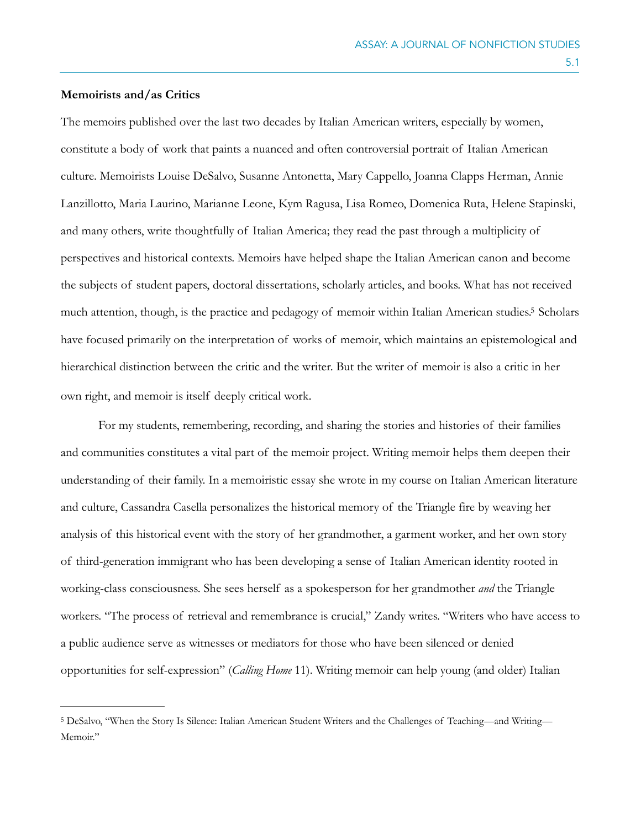#### **Memoirists and/as Critics**

The memoirs published over the last two decades by Italian American writers, especially by women, constitute a body of work that paints a nuanced and often controversial portrait of Italian American culture. Memoirists Louise DeSalvo, Susanne Antonetta, Mary Cappello, Joanna Clapps Herman, Annie Lanzillotto, Maria Laurino, Marianne Leone, Kym Ragusa, Lisa Romeo, Domenica Ruta, Helene Stapinski, and many others, write thoughtfully of Italian America; they read the past through a multiplicity of perspectives and historical contexts. Memoirs have helped shape the Italian American canon and become the subjects of student papers, doctoral dissertations, scholarly articles, and books. What has not received much attention, though, is the practice and pedagogy of memoir within Italian American studies[.](#page-13-0)<sup>[5](#page-13-0)</sup> Scholars have focused primarily on the interpretation of works of memoir, which maintains an epistemological and hierarchical distinction between the critic and the writer. But the writer of memoir is also a critic in her own right, and memoir is itself deeply critical work.

<span id="page-13-1"></span>For my students, remembering, recording, and sharing the stories and histories of their families and communities constitutes a vital part of the memoir project. Writing memoir helps them deepen their understanding of their family. In a memoiristic essay she wrote in my course on Italian American literature and culture, Cassandra Casella personalizes the historical memory of the Triangle fire by weaving her analysis of this historical event with the story of her grandmother, a garment worker, and her own story of third-generation immigrant who has been developing a sense of Italian American identity rooted in working-class consciousness. She sees herself as a spokesperson for her grandmother *and* the Triangle workers. "The process of retrieval and remembrance is crucial," Zandy writes. "Writers who have access to a public audience serve as witnesses or mediators for those who have been silenced or denied opportunities for self-expression" (*Calling Home* 11). Writing memoir can help young (and older) Italian

<span id="page-13-0"></span>[<sup>5</sup>](#page-13-1) DeSalvo, "When the Story Is Silence: Italian American Student Writers and the Challenges of Teaching—and Writing— Memoir."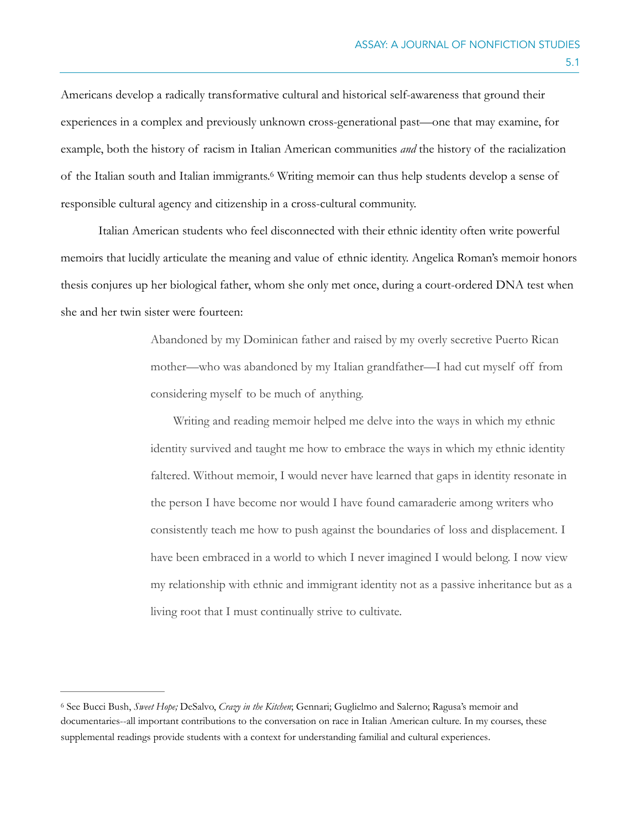Americans develop a radically transformative cultural and historical self-awareness that ground their experiences in a complex and previously unknown cross-generational past—one that may examine, for example, both the history of racism in Italian American communities *and* the history of the racialization of the Italian south and Italian immigrants[.](#page-14-0) Writing memoir can thus help students develop a sense of [6](#page-14-0) responsible cultural agency and citizenship in a cross-cultural community.

Italian American students who feel disconnected with their ethnic identity often write powerful memoirs that lucidly articulate the meaning and value of ethnic identity. Angelica Roman's memoir honors thesis conjures up her biological father, whom she only met once, during a court-ordered DNA test when she and her twin sister were fourteen:

> <span id="page-14-1"></span>Abandoned by my Dominican father and raised by my overly secretive Puerto Rican mother—who was abandoned by my Italian grandfather—I had cut myself off from considering myself to be much of anything.

 Writing and reading memoir helped me delve into the ways in which my ethnic identity survived and taught me how to embrace the ways in which my ethnic identity faltered. Without memoir, I would never have learned that gaps in identity resonate in the person I have become nor would I have found camaraderie among writers who consistently teach me how to push against the boundaries of loss and displacement. I have been embraced in a world to which I never imagined I would belong. I now view my relationship with ethnic and immigrant identity not as a passive inheritance but as a living root that I must continually strive to cultivate.

<span id="page-14-0"></span>See Bucci Bush, *Sweet Hope;* DeSalvo, *Crazy in the Kitchen*; Gennari; Guglielmo and Salerno; Ragusa's memoir and [6](#page-14-1) documentaries--all important contributions to the conversation on race in Italian American culture. In my courses, these supplemental readings provide students with a context for understanding familial and cultural experiences.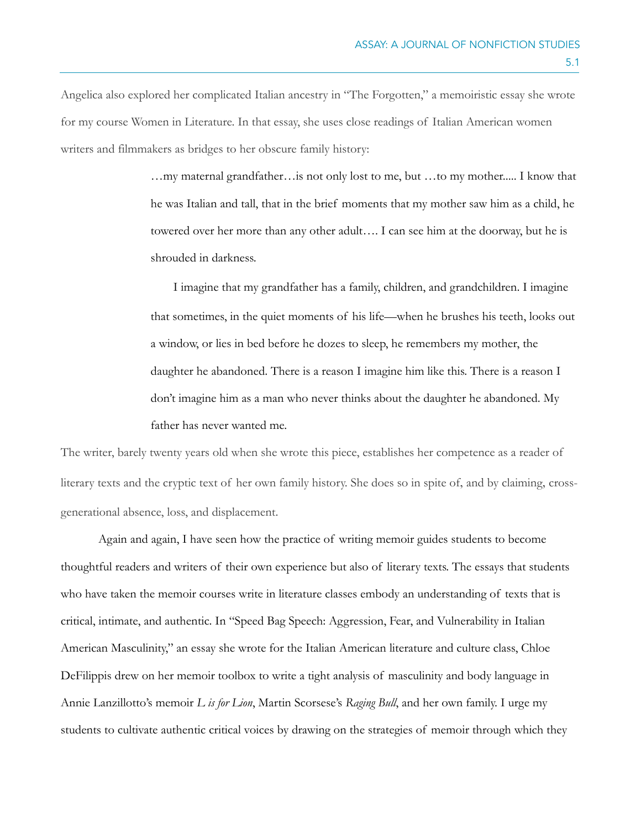Angelica also explored her complicated Italian ancestry in "The Forgotten," a memoiristic essay she wrote for my course Women in Literature. In that essay, she uses close readings of Italian American women writers and filmmakers as bridges to her obscure family history:

> …my maternal grandfather…is not only lost to me, but …to my mother..... I know that he was Italian and tall, that in the brief moments that my mother saw him as a child, he towered over her more than any other adult…. I can see him at the doorway, but he is shrouded in darkness.

> I imagine that my grandfather has a family, children, and grandchildren. I imagine that sometimes, in the quiet moments of his life—when he brushes his teeth, looks out a window, or lies in bed before he dozes to sleep, he remembers my mother, the daughter he abandoned. There is a reason I imagine him like this. There is a reason I don't imagine him as a man who never thinks about the daughter he abandoned. My father has never wanted me.

The writer, barely twenty years old when she wrote this piece, establishes her competence as a reader of literary texts and the cryptic text of her own family history. She does so in spite of, and by claiming, crossgenerational absence, loss, and displacement.

Again and again, I have seen how the practice of writing memoir guides students to become thoughtful readers and writers of their own experience but also of literary texts. The essays that students who have taken the memoir courses write in literature classes embody an understanding of texts that is critical, intimate, and authentic. In "Speed Bag Speech: Aggression, Fear, and Vulnerability in Italian American Masculinity," an essay she wrote for the Italian American literature and culture class, Chloe DeFilippis drew on her memoir toolbox to write a tight analysis of masculinity and body language in Annie Lanzillotto's memoir *L is for Lion*, Martin Scorsese's *Raging Bull*, and her own family. I urge my students to cultivate authentic critical voices by drawing on the strategies of memoir through which they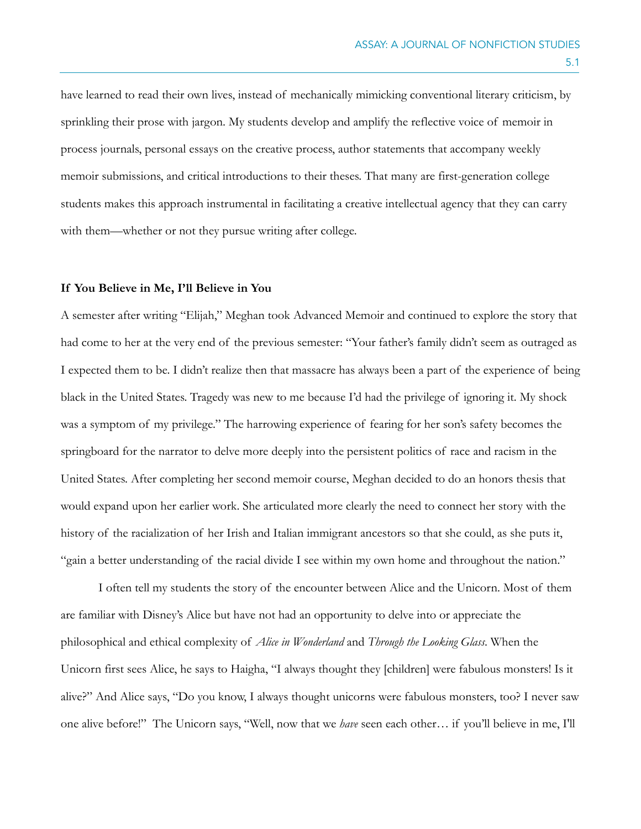have learned to read their own lives, instead of mechanically mimicking conventional literary criticism, by sprinkling their prose with jargon. My students develop and amplify the reflective voice of memoir in process journals, personal essays on the creative process, author statements that accompany weekly memoir submissions, and critical introductions to their theses. That many are first-generation college students makes this approach instrumental in facilitating a creative intellectual agency that they can carry with them—whether or not they pursue writing after college.

#### **If You Believe in Me, I'll Believe in You**

A semester after writing "Elijah," Meghan took Advanced Memoir and continued to explore the story that had come to her at the very end of the previous semester: "Your father's family didn't seem as outraged as I expected them to be. I didn't realize then that massacre has always been a part of the experience of being black in the United States. Tragedy was new to me because I'd had the privilege of ignoring it. My shock was a symptom of my privilege." The harrowing experience of fearing for her son's safety becomes the springboard for the narrator to delve more deeply into the persistent politics of race and racism in the United States. After completing her second memoir course, Meghan decided to do an honors thesis that would expand upon her earlier work. She articulated more clearly the need to connect her story with the history of the racialization of her Irish and Italian immigrant ancestors so that she could, as she puts it, "gain a better understanding of the racial divide I see within my own home and throughout the nation."

 I often tell my students the story of the encounter between Alice and the Unicorn. Most of them are familiar with Disney's Alice but have not had an opportunity to delve into or appreciate the philosophical and ethical complexity of *Alice in Wonderland* and *Through the Looking Glass*. When the Unicorn first sees Alice, he says to Haigha, "I always thought they [children] were fabulous monsters! Is it alive?" And Alice says, "Do you know, I always thought unicorns were fabulous monsters, too? I never saw one alive before!" The Unicorn says, "Well, now that we *have* seen each other… if you'll believe in me, I'll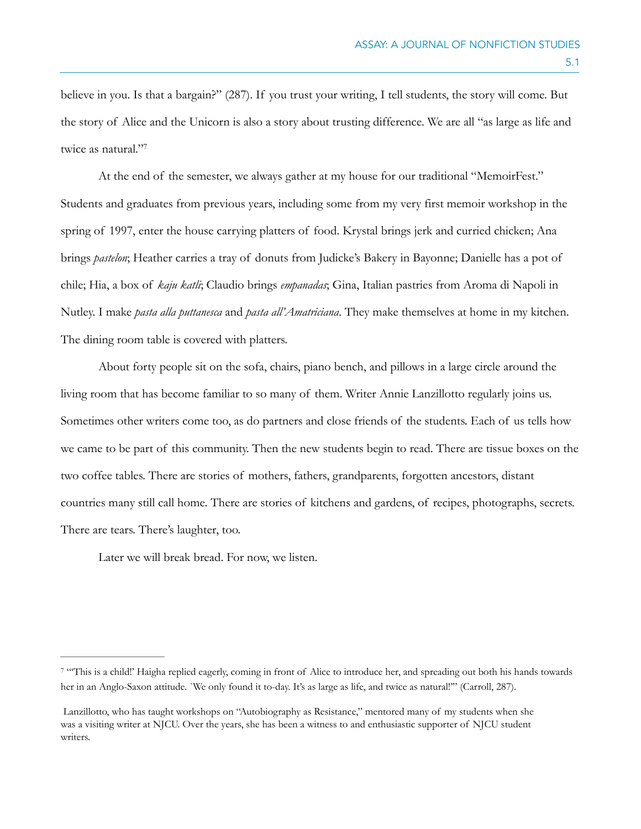believe in you. Is that a bargain?" (287). If you trust your writing, I tell students, the story will come. But the story of Alice and the Unicorn is also a story about trusting difference. We are all "as large as life and twice as natural.["7](#page-17-0)

<span id="page-17-1"></span>At the end of the semester, we always gather at my house for our traditional "MemoirFest." Students and graduates from previous years, including some from my very first memoir workshop in the spring of 1997, enter the house carrying platters of food. Krystal brings jerk and curried chicken; Ana brings *pastelon*; Heather carries a tray of donuts from Judicke's Bakery in Bayonne; Danielle has a pot of chile; Hia, a box of *kaju katli*; Claudio brings *empanadas*; Gina, Italian pastries from Aroma di Napoli in Nutley. I make *pasta alla puttanesca* and *pasta all'Amatriciana*. They make themselves at home in my kitchen. The dining room table is covered with platters.

About forty people sit on the sofa, chairs, piano bench, and pillows in a large circle around the living room that has become familiar to so many of them. Writer Annie Lanzillotto regularly joins us. Sometimes other writers come too, as do partners and close friends of the students. Each of us tells how we came to be part of this community. Then the new students begin to read. There are tissue boxes on the two coffee tables. There are stories of mothers, fathers, grandparents, forgotten ancestors, distant countries many still call home. There are stories of kitchens and gardens, of recipes, photographs, secrets. There are tears. There's laughter, too.

Later we will break bread. For now, we listen.

<span id="page-17-0"></span>[<sup>7</sup>](#page-17-1) "This is a child!' Haigha replied eagerly, coming in front of Alice to introduce her, and spreading out both his hands towards her in an Anglo-Saxon attitude. `We only found it to-day. It's as large as life, and twice as natural!'" (Carroll, 287).

Lanzillotto, who has taught workshops on "Autobiography as Resistance," mentored many of my students when she was a visiting writer at NJCU. Over the years, she has been a witness to and enthusiastic supporter of NJCU student writers.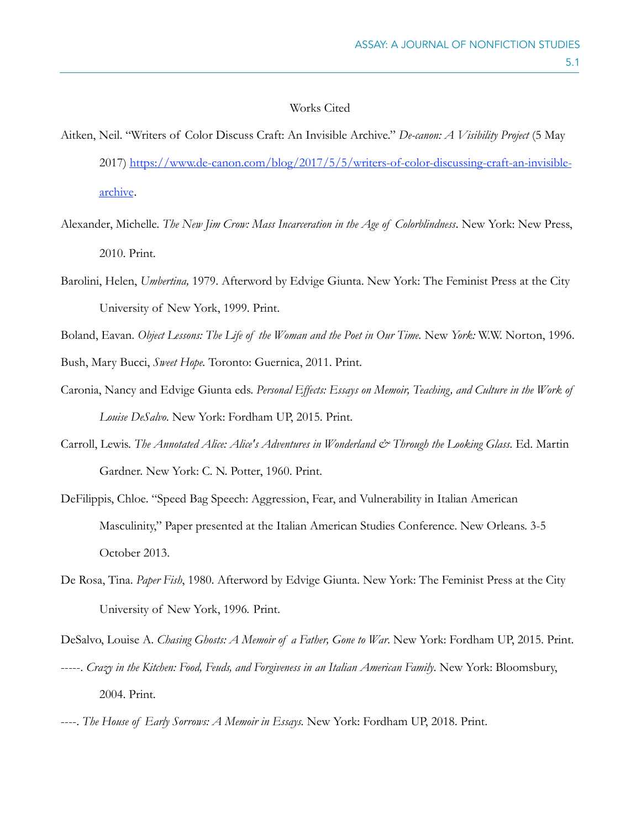### Works Cited

- Aitken, Neil. "Writers of Color Discuss Craft: An Invisible Archive." *De-canon: A Visibility Project* (5 May 2017) [https://www.de-canon.com/blog/2017/5/5/writers-of-color-discussing-craft-an-invisible](https://www.de-canon.com/blog/2017/5/5/writers-of-color-discussing-craft-an-invisible-archive)[archive](https://www.de-canon.com/blog/2017/5/5/writers-of-color-discussing-craft-an-invisible-archive).
- Alexander, Michelle. *The New Jim Crow: Mass Incarceration in the Age of Colorblindness*. New York: New Press, 2010. Print.
- Barolini, Helen, *Umbertina,* 1979. Afterword by Edvige Giunta. New York: The Feminist Press at the City University of New York, 1999. Print.

Boland, Eavan. *Object Lessons: The Life of the Woman and the Poet in Our Time.* New *York:* W.W. Norton, 1996.

Bush, Mary Bucci, *Sweet Hope.* Toronto: Guernica, 2011. Print.

- Caronia, Nancy and Edvige Giunta eds. *Personal Effects: Essays on Memoir, Teaching, and Culture in the Work of Louise DeSalvo*. New York: Fordham UP, 2015. Print.
- Carroll, Lewis. *The Annotated Alice: Alice's Adventures in Wonderland & Through the Looking Glass*. Ed. Martin Gardner. New York: C. N. Potter, 1960. Print.
- DeFilippis, Chloe. "Speed Bag Speech: Aggression, Fear, and Vulnerability in Italian American Masculinity," Paper presented at the Italian American Studies Conference. New Orleans. 3-5 October 2013.
- De Rosa, Tina. *Paper Fish*, 1980. Afterword by Edvige Giunta. New York: The Feminist Press at the City University of New York, 1996*.* Print.

DeSalvo, Louise A. *Chasing Ghosts: A Memoir of a Father, Gone to War*. New York: Fordham UP, 2015. Print.

- -----. *Crazy in the Kitchen: Food, Feuds, and Forgiveness in an Italian American Family*. New York: Bloomsbury, 2004. Print.
- ----. *The House of Early Sorrows: A Memoir in Essays.* New York: Fordham UP, 2018. Print.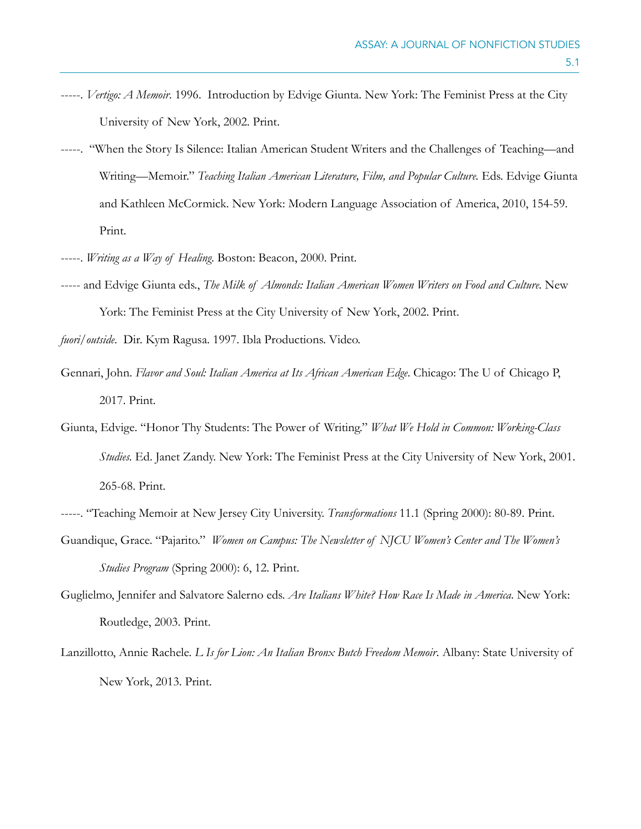- -----. *Vertigo: A Memoir*. 1996. Introduction by Edvige Giunta. New York: The Feminist Press at the City University of New York, 2002. Print.
- -----. "When the Story Is Silence: Italian American Student Writers and the Challenges of Teaching—and Writing—Memoir." *Teaching Italian American Literature, Film, and Popular Culture.* Eds. Edvige Giunta and Kathleen McCormick. New York: Modern Language Association of America, 2010, 154-59. Print.
- -----. *Writing as a Way of Healing*. Boston: Beacon, 2000. Print.
- ----- and Edvige Giunta eds., *The Milk of Almonds: Italian American Women Writers on Food and Culture.* New York: The Feminist Press at the City University of New York, 2002. Print.
- *fuori/outside*. Dir. Kym Ragusa. 1997. Ibla Productions. Video.
- Gennari, John. *Flavor and Soul: Italian America at Its African American Edge*. Chicago: The U of Chicago P, 2017. Print.
- Giunta, Edvige. "Honor Thy Students: The Power of Writing." *What We Hold in Common: Working-Class Studies.* Ed. Janet Zandy. New York: The Feminist Press at the City University of New York, 2001. 265-68. Print.
- -----. "Teaching Memoir at New Jersey City University. *Transformations* 11.1 (Spring 2000): 80-89. Print.
- Guandique, Grace. "Pajarito." *Women on Campus: The Newsletter of NJCU Women's Center and The Women's Studies Program* (Spring 2000): 6, 12. Print.
- Guglielmo, Jennifer and Salvatore Salerno eds. *Are Italians White? How Race Is Made in America*. New York: Routledge, 2003. Print.
- Lanzillotto, Annie Rachele. *L Is for Lion: An Italian Bronx Butch Freedom Memoir*. Albany: State University of New York, 2013. Print.